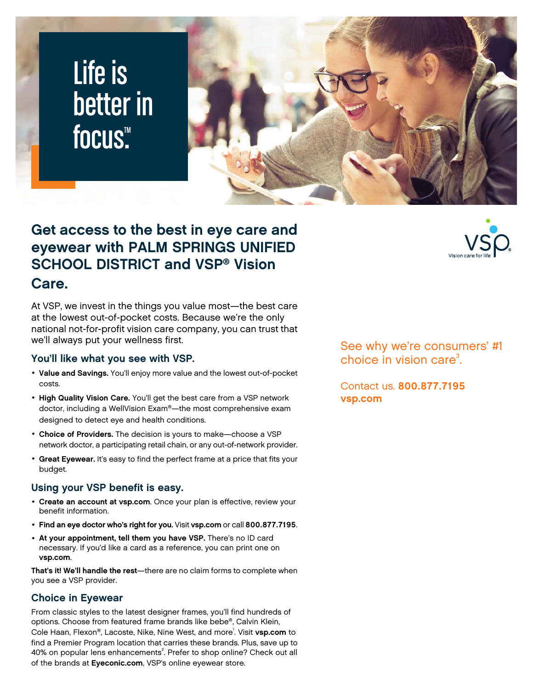# Life is better in focus<sup>™</sup>



## **Get access to the best in eye care and eyewear with PALM SPRINGS UNIFIED SCHOOL DISTRICT and VSP® Vision**

### **Care.**

At VSP, we invest in the things you value most—the best care at the lowest out-of-pocket costs. Because we're the only national not-for-profit vision care company, you can trust that we'll always put your wellness first.

#### **You'll like what you see with VSP.**

- **Value and Savings.** You'll enjoy more value and the lowest out-of-pocket costs.
- **High Quality Vision Care.** You'll get the best care from a VSP network doctor, including a WellVision Exam®—the most comprehensive exam designed to detect eye and health conditions.
- **Choice of Providers.** The decision is yours to make—choose a VSP network doctor, a participating retail chain, or any out-of-network provider.
- **Great Eyewear.** It's easy to find the perfect frame at a price that fits your budget.

#### **Using your VSP benefit is easy.**

- **Create an account at [vsp.com](www.vsp.com)**. Once your plan is effective, review your benefit information.
- **Find an eye doctor who's right for you.** Visit **[vsp.com](www.vsp.com)** or call **800.877.7195**.
- **At your appointment, tell them you have VSP.** There's no ID card necessary. If you'd like a card as a reference, you can print one on **[vsp.com](www.vsp.com)**.

**That's it! We'll handle the rest**—there are no claim forms to complete when you see a VSP provider.

#### **Choice in Eyewear**

From classic styles to the latest designer frames, you'll find hundreds of options. Choose from featured frame brands like bebe®, Calvin Klein, Cole Haan, Flexon®, Lacoste, Nike, Nine West, and more<sup>1</sup> . Visit **[vsp.com](www.vsp.com)** to find a Premier Program location that carries these brands. Plus, save up to 40% on popular lens enhancements<sup>2</sup>. Prefer to shop online? Check out all of the brands at **[Eyeconic.com](www.eyeconic.com)**, VSP's online eyewear store.

See why we're consumers' #1 choice in vision care $3$ . .

Contact us. **800.877.7195 [vsp.com](http://www.vsp.com)**